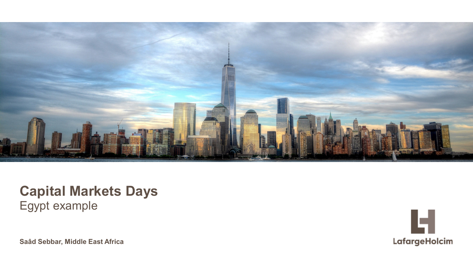

### **Capital Markets Days** Egypt example

**Saâd Sebbar, Middle East Africa**

![](_page_0_Picture_3.jpeg)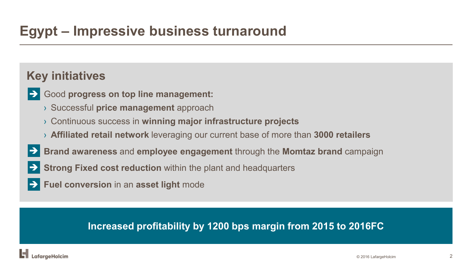## **Egypt – Impressive business turnaround**

### **Key initiatives**

- Good **progress on top line management:**  $\rightarrow$ 
	- › Successful **price management** approach
	- › Continuous success in **winning major infrastructure projects**
	- › **Affiliated retail network** leveraging our current base of more than **3000 retailers**
- **Brand awareness** and **employee engagement** through the **Momtaz brand** campaign  $\rightarrow$
- **Strong Fixed cost reduction** within the plant and headquarters  $\blacktriangleright$ l
- **Fuel conversion** in an **asset light** mode

#### **Increased profitability by 1200 bps margin from 2015 to 2016FC**